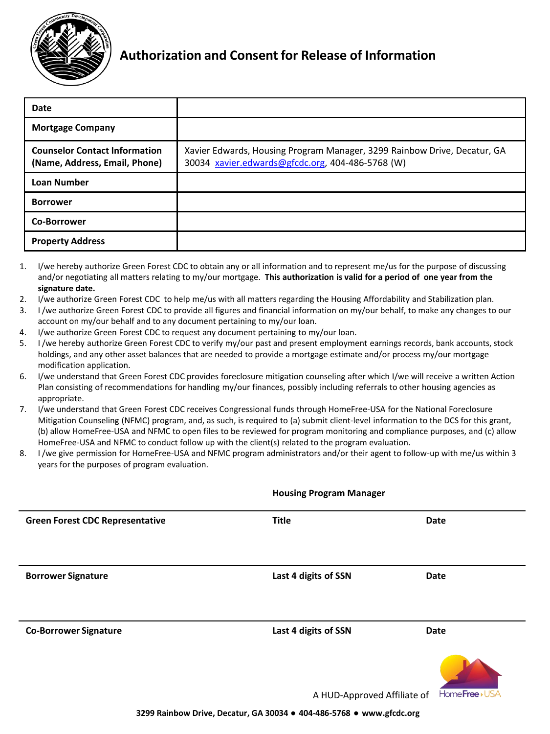

| Date                                                                  |                                                                                                                              |
|-----------------------------------------------------------------------|------------------------------------------------------------------------------------------------------------------------------|
| <b>Mortgage Company</b>                                               |                                                                                                                              |
| <b>Counselor Contact Information</b><br>(Name, Address, Email, Phone) | Xavier Edwards, Housing Program Manager, 3299 Rainbow Drive, Decatur, GA<br>30034 xavier.edwards@gfcdc.org, 404-486-5768 (W) |
| <b>Loan Number</b>                                                    |                                                                                                                              |
| <b>Borrower</b>                                                       |                                                                                                                              |
| <b>Co-Borrower</b>                                                    |                                                                                                                              |
| <b>Property Address</b>                                               |                                                                                                                              |

- 1. I/we hereby authorize Green Forest CDC to obtain any or all information and to represent me/us for the purpose of discussing and/or negotiating all matters relating to my/our mortgage. **This authorization is valid for a period of one year from the signature date.**
- 2. I/we authorize Green Forest CDC to help me/us with all matters regarding the Housing Affordability and Stabilization plan.
- 3. I /we authorize Green Forest CDC to provide all figures and financial information on my/our behalf, to make any changes to our account on my/our behalf and to any document pertaining to my/our loan.
- 4. I/we authorize Green Forest CDC to request any document pertaining to my/our loan.
- 5. I /we hereby authorize Green Forest CDC to verify my/our past and present employment earnings records, bank accounts, stock holdings, and any other asset balances that are needed to provide a mortgage estimate and/or process my/our mortgage modification application.
- 6. I/we understand that Green Forest CDC provides foreclosure mitigation counseling after which I/we will receive a written Action Plan consisting of recommendations for handling my/our finances, possibly including referrals to other housing agencies as appropriate.
- 7. I/we understand that Green Forest CDC receives Congressional funds through HomeFree-USA for the National Foreclosure Mitigation Counseling (NFMC) program, and, as such, is required to (a) submit client-level information to the DCS for this grant, (b) allow HomeFree-USA and NFMC to open files to be reviewed for program monitoring and compliance purposes, and (c) allow HomeFree-USA and NFMC to conduct follow up with the client(s) related to the program evaluation.
- 8. I /we give permission for HomeFree-USA and NFMC program administrators and/or their agent to follow-up with me/us within 3 years for the purposes of program evaluation.

|                                        | <b>Housing Program Manager</b> |             |
|----------------------------------------|--------------------------------|-------------|
| <b>Green Forest CDC Representative</b> | <b>Title</b>                   | <b>Date</b> |
|                                        |                                |             |
|                                        |                                |             |
| <b>Borrower Signature</b>              | Last 4 digits of SSN           | <b>Date</b> |
|                                        |                                |             |
|                                        |                                |             |
| <b>Co-Borrower Signature</b>           | Last 4 digits of SSN           | Date        |
|                                        |                                |             |
|                                        |                                |             |

A HUD-Approved Affiliate of

Home**Free**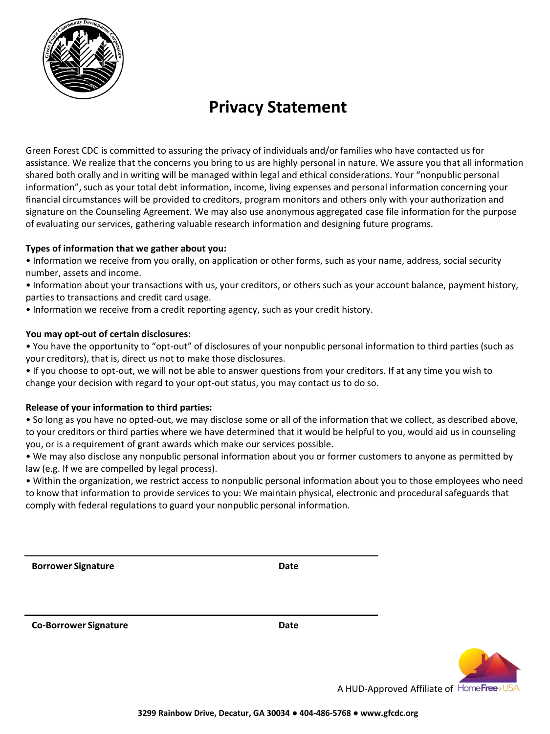

## **Privacy Statement**

Green Forest CDC is committed to assuring the privacy of individuals and/or families who have contacted us for assistance. We realize that the concerns you bring to us are highly personal in nature. We assure you that all information shared both orally and in writing will be managed within legal and ethical considerations. Your "nonpublic personal information", such as your total debt information, income, living expenses and personal information concerning your financial circumstances will be provided to creditors, program monitors and others only with your authorization and signature on the Counseling Agreement. We may also use anonymous aggregated case file information for the purpose of evaluating our services, gathering valuable research information and designing future programs.

### **Types of information that we gather about you:**

• Information we receive from you orally, on application or other forms, such as your name, address, social security number, assets and income.

• Information about your transactions with us, your creditors, or others such as your account balance, payment history, parties to transactions and credit card usage.

• Information we receive from a credit reporting agency, such as your credit history.

#### **You may opt-out of certain disclosures:**

• You have the opportunity to "opt-out" of disclosures of your nonpublic personal information to third parties (such as your creditors), that is, direct us not to make those disclosures.

• If you choose to opt-out, we will not be able to answer questions from your creditors. If at any time you wish to change your decision with regard to your opt-out status, you may contact us to do so.

### **Release of your information to third parties:**

• So long as you have no opted-out, we may disclose some or all of the information that we collect, as described above, to your creditors or third parties where we have determined that it would be helpful to you, would aid us in counseling you, or is a requirement of grant awards which make our services possible.

• We may also disclose any nonpublic personal information about you or former customers to anyone as permitted by law (e.g. If we are compelled by legal process).

• Within the organization, we restrict access to nonpublic personal information about you to those employees who need to know that information to provide services to you: We maintain physical, electronic and procedural safeguards that comply with federal regulations to guard your nonpublic personal information.

**Borrower Signature Date** 

**Co-Borrower Signature Date**



A HUD-Approved Affiliate of HomeFree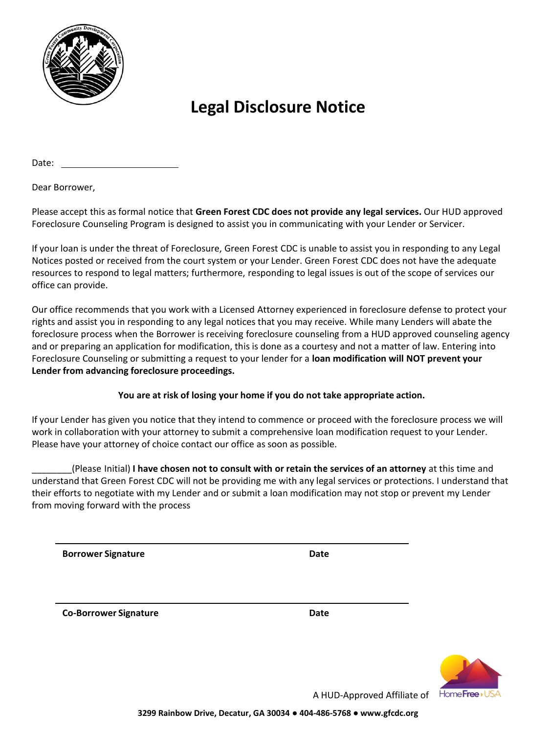

# **Legal Disclosure Notice**

Date:

Dear Borrower,

Please accept this as formal notice that **Green Forest CDC does not provide any legal services.** Our HUD approved Foreclosure Counseling Program is designed to assist you in communicating with your Lender or Servicer.

If your loan is under the threat of Foreclosure, Green Forest CDC is unable to assist you in responding to any Legal Notices posted or received from the court system or your Lender. Green Forest CDC does not have the adequate resources to respond to legal matters; furthermore, responding to legal issues is out of the scope of services our office can provide.

Our office recommends that you work with a Licensed Attorney experienced in foreclosure defense to protect your rights and assist you in responding to any legal notices that you may receive. While many Lenders will abate the foreclosure process when the Borrower is receiving foreclosure counseling from a HUD approved counseling agency and or preparing an application for modification, this is done as a courtesy and not a matter of law. Entering into Foreclosure Counseling or submitting a request to your lender for a **loan modification will NOT prevent your Lender from advancing foreclosure proceedings.** 

### **You are at risk of losing your home if you do not take appropriate action.**

If your Lender has given you notice that they intend to commence or proceed with the foreclosure process we will work in collaboration with your attorney to submit a comprehensive loan modification request to your Lender. Please have your attorney of choice contact our office as soon as possible.

\_\_\_\_\_\_\_\_(Please Initial) **I have chosen not to consult with or retain the services of an attorney** at this time and understand that Green Forest CDC will not be providing me with any legal services or protections. I understand that their efforts to negotiate with my Lender and or submit a loan modification may not stop or prevent my Lender from moving forward with the process

**Borrower Signature Date**

**Co-Borrower Signature Date** 



A HUD-Approved Affiliate of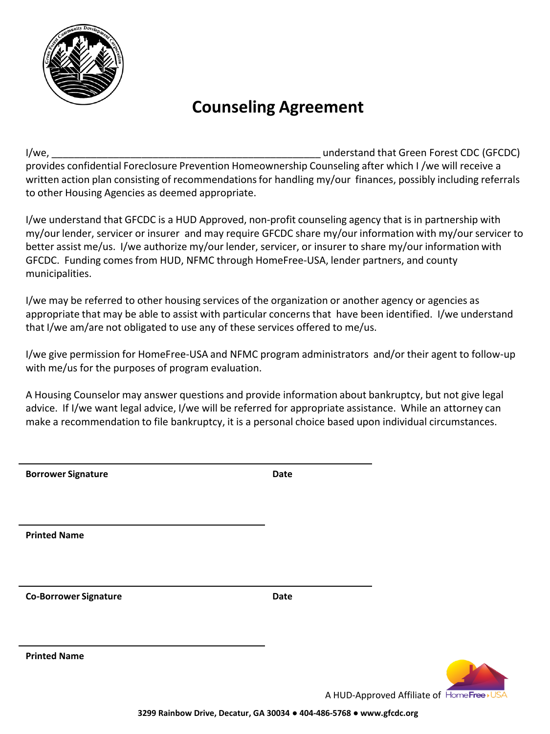

## **Counseling Agreement**

I/we, the contract of the contract of the contract of the contract of the contract of the contract of the contract CDC (GFCDC) provides confidential Foreclosure Prevention Homeownership Counseling after which I /we will receive a written action plan consisting of recommendations for handling my/our finances, possibly including referrals to other Housing Agencies as deemed appropriate.

I/we understand that GFCDC is a HUD Approved, non-profit counseling agency that is in partnership with my/our lender, servicer or insurer and may require GFCDC share my/our information with my/our servicer to better assist me/us. I/we authorize my/our lender, servicer, or insurer to share my/our information with GFCDC. Funding comes from HUD, NFMC through HomeFree-USA, lender partners, and county municipalities.

I/we may be referred to other housing services of the organization or another agency or agencies as appropriate that may be able to assist with particular concerns that have been identified. I/we understand that I/we am/are not obligated to use any of these services offered to me/us.

I/we give permission for HomeFree-USA and NFMC program administrators and/or their agent to follow-up with me/us for the purposes of program evaluation.

A Housing Counselor may answer questions and provide information about bankruptcy, but not give legal advice. If I/we want legal advice, I/we will be referred for appropriate assistance. While an attorney can make a recommendation to file bankruptcy, it is a personal choice based upon individual circumstances.

| <b>Borrower Signature</b>    | Date |
|------------------------------|------|
|                              |      |
|                              |      |
|                              |      |
|                              |      |
| <b>Printed Name</b>          |      |
|                              |      |
|                              |      |
|                              |      |
| <b>Co-Borrower Signature</b> | Date |
|                              |      |
|                              |      |
|                              |      |
| <b>Printed Name</b>          |      |
|                              |      |
|                              |      |

A HUD-Approved Affiliate of HomeFree